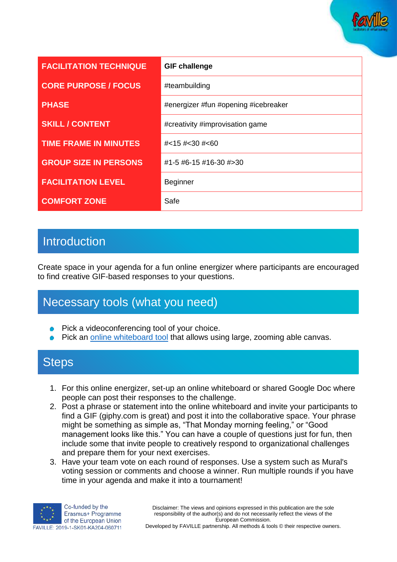

| <b>FACILITATION TECHNIQUE</b> | <b>GIF challenge</b>                 |
|-------------------------------|--------------------------------------|
| <b>CORE PURPOSE / FOCUS</b>   | #teambuilding                        |
| <b>PHASE</b>                  | #energizer #fun #opening #icebreaker |
| <b>SKILL / CONTENT</b>        | #creativity #improvisation game      |
| <b>TIME FRAME IN MINUTES</b>  | # < 15 # < 30 # < 60                 |
| <b>GROUP SIZE IN PERSONS</b>  | #1-5 #6-15 #16-30 #>30               |
| <b>FACILITATION LEVEL</b>     | <b>Beginner</b>                      |
| <b>COMFORT ZONE</b>           | Safe                                 |

## Introduction

Create space in your agenda for a fun online energizer where participants are encouraged to find creative GIF-based responses to your questions.

## Necessary tools (what you need)

- Pick a videoconferencing tool of your choice.
- Pick an [online whiteboard tool](https://www.sessionlab.com/blog/online-tools-for-workshops/#online-whiteboard-tools) that allows using large, zooming able canvas.

#### **Steps**

- 1. For this online energizer, set-up an online whiteboard or shared Google Doc where people can post their responses to the challenge.
- 2. Post a phrase or statement into the online whiteboard and invite your participants to find a GIF (giphy.com is great) and post it into the collaborative space. Your phrase might be something as simple as, "That Monday morning feeling," or "Good management looks like this." You can have a couple of questions just for fun, then include some that invite people to creatively respond to organizational challenges and prepare them for your next exercises.
- 3. Have your team vote on each round of responses. Use a system such as Mural's voting session or comments and choose a winner. Run multiple rounds if you have time in your agenda and make it into a tournament!



Developed by FAVILLE partnership. All methods & tools © their respective owners.